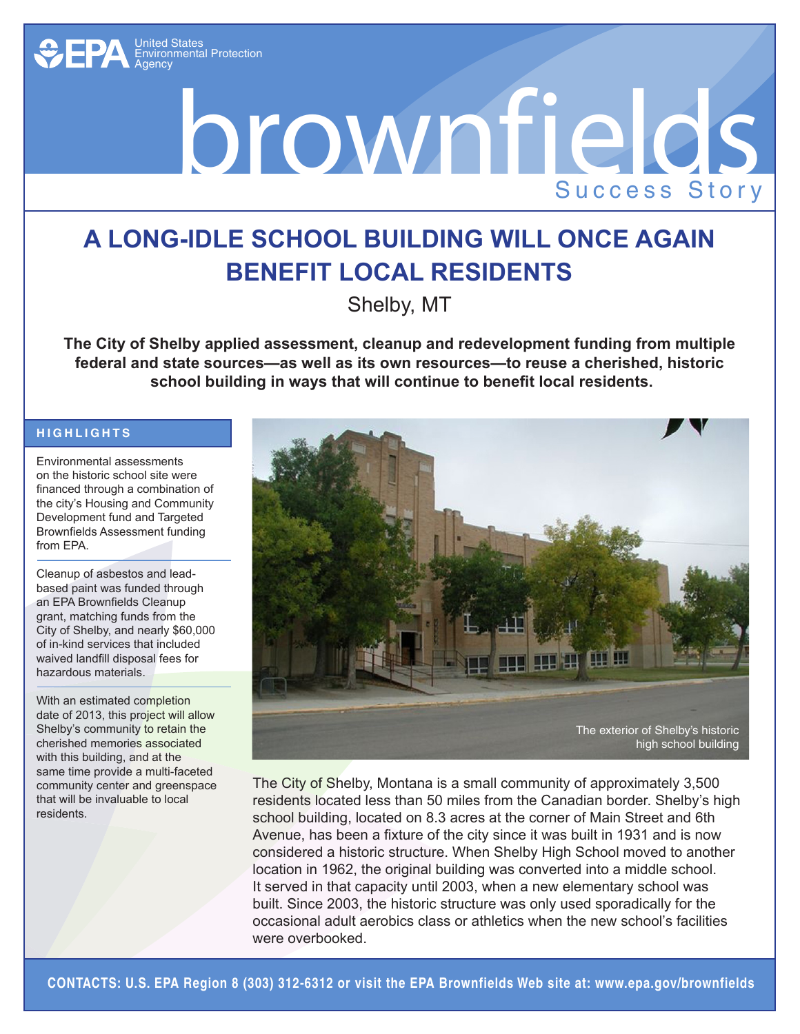

## brownfields Success Story

## **a Long-Idle School Building will Once Again Benefit Local Residents**

Shelby, MT

**The City of Shelby applied assessment, cleanup and redevelopment funding from multiple federal and state sources—as well as its own resources—to reuse a cherished, historic school building in ways that will continue to benefit local residents.**

## **Hig h lig h t s**

Environmental assessments on the historic school site were financed through a combination of the city's Housing and Community Development fund and Targeted Brownfields Assessment funding from EPA.

Cleanup of asbestos and leadbased paint was funded through an EPA Brownfields Cleanup grant, matching funds from the City of Shelby, and nearly \$60,000 of in-kind services that included waived landfill disposal fees for hazardous materials.

With an estimated completion date of 2013, this project will allow Shelby's community to retain the cherished memories associated with this building, and at the same time provide a multi-faceted community center and greenspace that will be invaluable to local residents.



The City of Shelby, Montana is a small community of approximately 3,500 residents located less than 50 miles from the Canadian border. Shelby's high school building, located on 8.3 acres at the corner of Main Street and 6th Avenue, has been a fixture of the city since it was built in 1931 and is now considered a historic structure. When Shelby High School moved to another location in 1962, the original building was converted into a middle school. It served in that capacity until 2003, when a new elementary school was built. Since 2003, the historic structure was only used sporadically for the occasional adult aerobics class or athletics when the new school's facilities were overbooked.